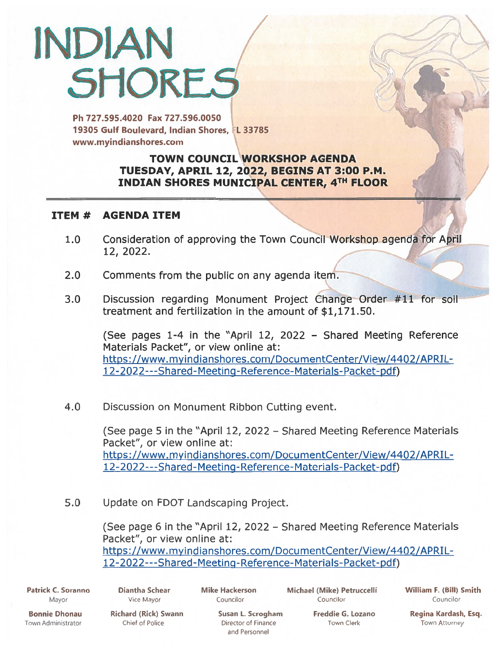## INDIAN **SHORES**

Ph 727.595.4020 Fax 727.596.0050 19305 Gulf Boulevard, Indian Shores, **FL 33785** www.myindianshores.com

## TOWN COUNCIL WORKSHOP AGENDA TUESDAY, APRIL 12, 2022, BEGINS AT 3:00 P.M. INDIAN SHORES MUNICIPAL CENTER, 4TH FLOOR

## ITEM # AGENDA ITEM

- 1.0 Consideration of approving the Town Council Workshop agenda for April 12, 2022.
- 2.0 Comments from the public on any agenda item.
- 3.0 Discussion regarding Monument Project Change Order #11 for soil treatment and fertilization in the amount of \$1,171.50.

(See pages 1-4 in the "April 12, 2022 — Shared Meeting Reference Materials Packet", or view online at: https://www.myindianshores.com/DocumentCenter/View/4402/APRIL-12-2022---Shared- [Meeting-Reference-Materials-](https://www.myindianshores.com/DocumentCenter/View/4402/APRIL-12-2022---Shared-Meeting-Reference-Materials-Packet-pdf) Packet-pdf)

4.0 Discussion on Monument Ribbon Cutting event.

(See page 5 in the "April 12, 2022 — Shared Meeting Reference Materials Packet", or view online at: https://www.myindianshores.com/DocumentCenter/View/4402/APRIL-12-2022---Shared-Meeting-Reference-Materials-Packet-pdf)

5.0 Update on FDOT Landscaping Project.

(See page <sup>6</sup> in the "April 12, 2022 — Shared Meeting Reference Materials Packet", or view online at: https://www.myindianshores.com/DocumentCenter/View/4402/APRIL-1 [2-2022---Shared-Meeting-Reference-Materials-Packet-pdf\)](https://www.myindianshores.com/DocumentCenter/View/4402/APRIL-12-2022---Shared-Meeting-Reference-Materials-Packet-pdf)

Patrick C. Soranno Diantha Schear Mike Hackerson Michael (Mike) Petruccelli William F. (Bill) Smith Mayor Vice Mayor Councilor CouncHor CouncHor

[

Bonnie Dhonau Richard (Rick) Swann Susan L. Scrogham Freddie G. Lozano Regina Kardash, Esq.

Town Administrator Chief of Police Director of Finance Town Clerk Town Attorney

and Personnel